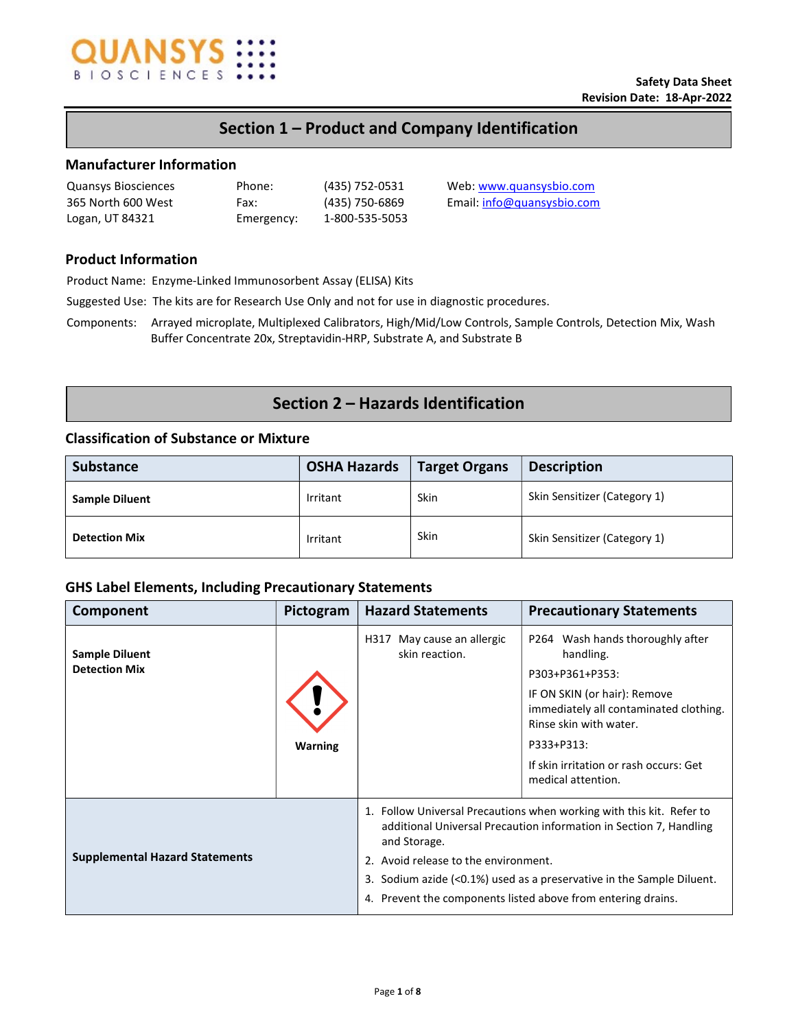

# Section 1 – Product and Company Identification

## Manufacturer Information

| <b>Quansys Biosciences</b> | Phone:     |
|----------------------------|------------|
| 365 North 600 West         | Fax:       |
| Logan, UT 84321            | Emergency: |

1-800-535-5053

(435) 752-0531 Web: www.quansysbio.com (435) 750-6869 Email: info@quansysbio.com

# Product Information

Product Name: Enzyme-Linked Immunosorbent Assay (ELISA) Kits

Suggested Use: The kits are for Research Use Only and not for use in diagnostic procedures.

Components: Arrayed microplate, Multiplexed Calibrators, High/Mid/Low Controls, Sample Controls, Detection Mix, Wash Buffer Concentrate 20x, Streptavidin-HRP, Substrate A, and Substrate B

# Section 2 – Hazards Identification

## Classification of Substance or Mixture

| <b>Substance</b>      | <b>OSHA Hazards</b> | Target Organs | <b>Description</b>           |
|-----------------------|---------------------|---------------|------------------------------|
| <b>Sample Diluent</b> | Irritant            | Skin          | Skin Sensitizer (Category 1) |
| <b>Detection Mix</b>  | Irritant            | Skin          | Skin Sensitizer (Category 1) |

## GHS Label Elements, Including Precautionary Statements

| Component                                     | Pictogram      | <b>Hazard Statements</b>                                                                                                                                                                                                                                                                                                                    | <b>Precautionary Statements</b>                                                                                                                                                                                                                    |  |
|-----------------------------------------------|----------------|---------------------------------------------------------------------------------------------------------------------------------------------------------------------------------------------------------------------------------------------------------------------------------------------------------------------------------------------|----------------------------------------------------------------------------------------------------------------------------------------------------------------------------------------------------------------------------------------------------|--|
| <b>Sample Diluent</b><br><b>Detection Mix</b> | <b>Warning</b> | May cause an allergic<br>H317<br>skin reaction.                                                                                                                                                                                                                                                                                             | P264 Wash hands thoroughly after<br>handling.<br>P303+P361+P353:<br>IF ON SKIN (or hair): Remove<br>immediately all contaminated clothing.<br>Rinse skin with water.<br>P333+P313:<br>If skin irritation or rash occurs: Get<br>medical attention. |  |
| <b>Supplemental Hazard Statements</b>         |                | 1. Follow Universal Precautions when working with this kit. Refer to<br>additional Universal Precaution information in Section 7, Handling<br>and Storage.<br>2. Avoid release to the environment.<br>3. Sodium azide (<0.1%) used as a preservative in the Sample Diluent.<br>4. Prevent the components listed above from entering drains. |                                                                                                                                                                                                                                                    |  |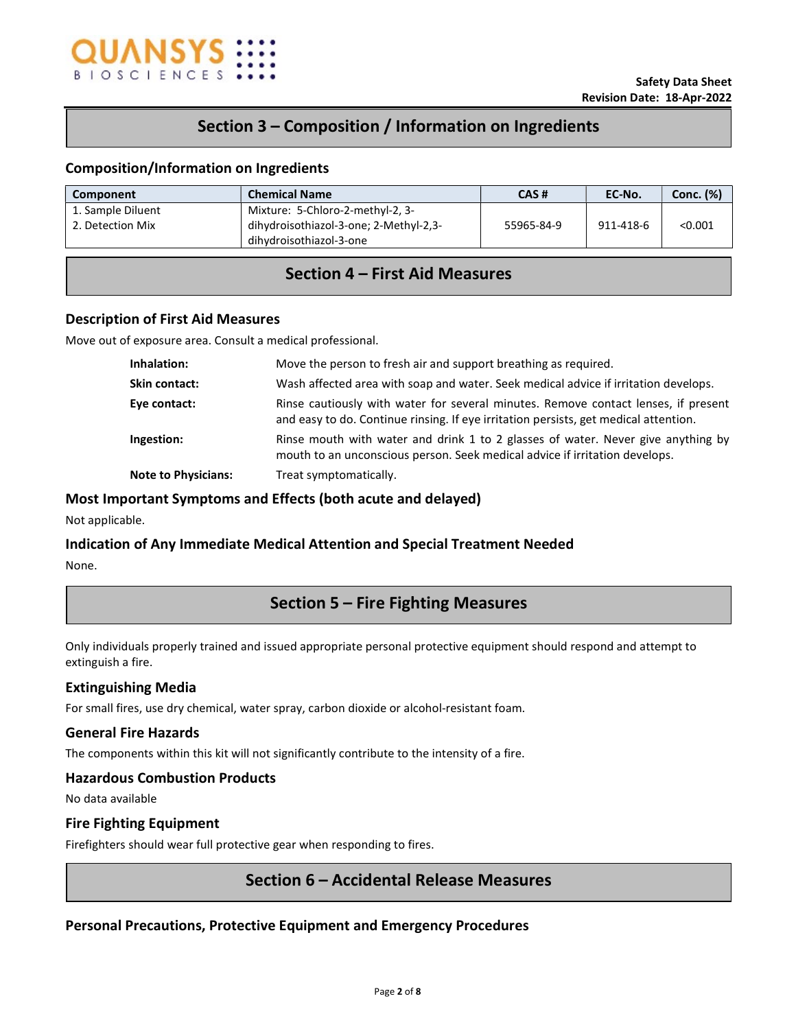

# Section 3 – Composition / Information on Ingredients

## Composition/Information on Ingredients

| Component                             | <b>Chemical Name</b>                                                                                  | CAS#       | EC-No.    | <b>Conc.</b> (%) |
|---------------------------------------|-------------------------------------------------------------------------------------------------------|------------|-----------|------------------|
| 1. Sample Diluent<br>2. Detection Mix | Mixture: 5-Chloro-2-methyl-2, 3-<br>dihydroisothiazol-3-one; 2-Methyl-2,3-<br>dihydroisothiazol-3-one | 55965-84-9 | 911-418-6 | < 0.001          |

# Section 4 – First Aid Measures

### Description of First Aid Measures

Move out of exposure area. Consult a medical professional.

| Inhalation:                | Move the person to fresh air and support breathing as required.                                                                                                            |
|----------------------------|----------------------------------------------------------------------------------------------------------------------------------------------------------------------------|
| Skin contact:              | Wash affected area with soap and water. Seek medical advice if irritation develops.                                                                                        |
| Eye contact:               | Rinse cautiously with water for several minutes. Remove contact lenses, if present<br>and easy to do. Continue rinsing. If eye irritation persists, get medical attention. |
| Ingestion:                 | Rinse mouth with water and drink 1 to 2 glasses of water. Never give anything by<br>mouth to an unconscious person. Seek medical advice if irritation develops.            |
| <b>Note to Physicians:</b> | Treat symptomatically.                                                                                                                                                     |

### Most Important Symptoms and Effects (both acute and delayed)

Not applicable.

### Indication of Any Immediate Medical Attention and Special Treatment Needed

None.

# Section 5 – Fire Fighting Measures

Only individuals properly trained and issued appropriate personal protective equipment should respond and attempt to extinguish a fire.

### Extinguishing Media

For small fires, use dry chemical, water spray, carbon dioxide or alcohol-resistant foam.

### General Fire Hazards

The components within this kit will not significantly contribute to the intensity of a fire.

### Hazardous Combustion Products

No data available

### Fire Fighting Equipment

Firefighters should wear full protective gear when responding to fires.

# Section 6 – Accidental Release Measures

# Personal Precautions, Protective Equipment and Emergency Procedures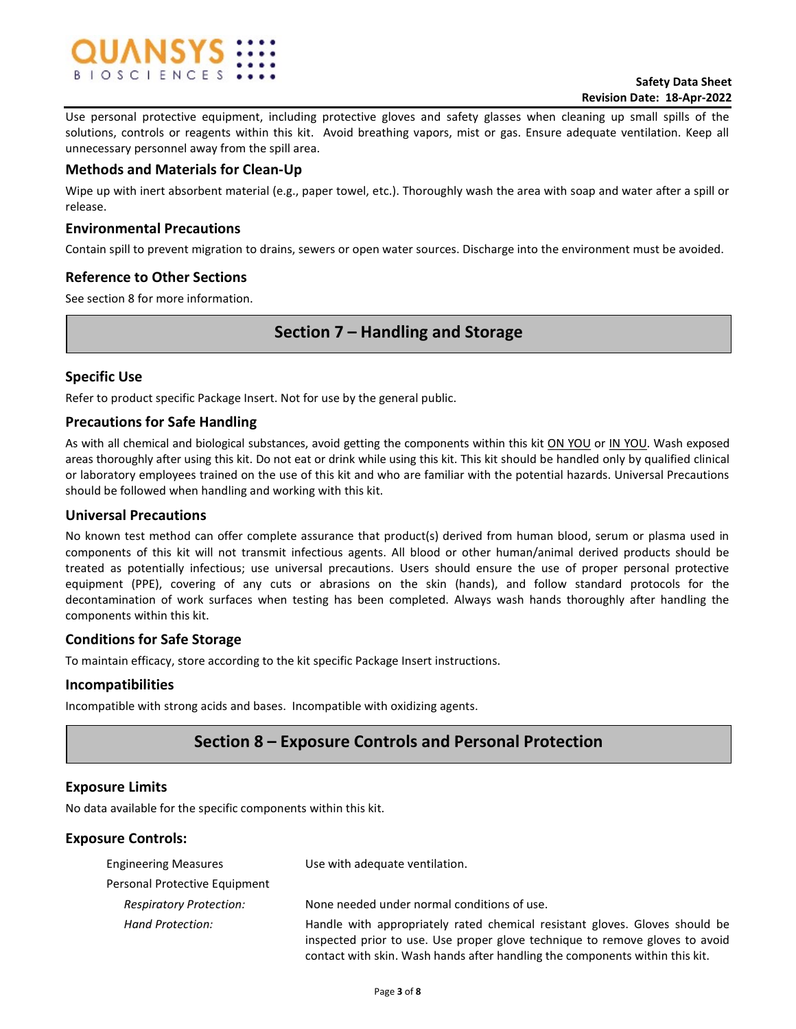

Use personal protective equipment, including protective gloves and safety glasses when cleaning up small spills of the solutions, controls or reagents within this kit. Avoid breathing vapors, mist or gas. Ensure adequate ventilation. Keep all unnecessary personnel away from the spill area.

## Methods and Materials for Clean-Up

Wipe up with inert absorbent material (e.g., paper towel, etc.). Thoroughly wash the area with soap and water after a spill or release.

## Environmental Precautions

Contain spill to prevent migration to drains, sewers or open water sources. Discharge into the environment must be avoided.

## Reference to Other Sections

See section 8 for more information.

# Section 7 – Handling and Storage

## Specific Use

Refer to product specific Package Insert. Not for use by the general public.

## Precautions for Safe Handling

As with all chemical and biological substances, avoid getting the components within this kit ON YOU or IN YOU. Wash exposed areas thoroughly after using this kit. Do not eat or drink while using this kit. This kit should be handled only by qualified clinical or laboratory employees trained on the use of this kit and who are familiar with the potential hazards. Universal Precautions should be followed when handling and working with this kit.

### Universal Precautions

No known test method can offer complete assurance that product(s) derived from human blood, serum or plasma used in components of this kit will not transmit infectious agents. All blood or other human/animal derived products should be treated as potentially infectious; use universal precautions. Users should ensure the use of proper personal protective equipment (PPE), covering of any cuts or abrasions on the skin (hands), and follow standard protocols for the decontamination of work surfaces when testing has been completed. Always wash hands thoroughly after handling the components within this kit.

### Conditions for Safe Storage

To maintain efficacy, store according to the kit specific Package Insert instructions.

### Incompatibilities

Incompatible with strong acids and bases. Incompatible with oxidizing agents.

# Section 8 – Exposure Controls and Personal Protection

### Exposure Limits

No data available for the specific components within this kit.

# Exposure Controls:

| <b>Engineering Measures</b>    | Use with adequate ventilation.                                                                                                                                                                                                              |
|--------------------------------|---------------------------------------------------------------------------------------------------------------------------------------------------------------------------------------------------------------------------------------------|
| Personal Protective Equipment  |                                                                                                                                                                                                                                             |
| <b>Respiratory Protection:</b> | None needed under normal conditions of use.                                                                                                                                                                                                 |
| Hand Protection:               | Handle with appropriately rated chemical resistant gloves. Gloves should be<br>inspected prior to use. Use proper glove technique to remove gloves to avoid<br>contact with skin. Wash hands after handling the components within this kit. |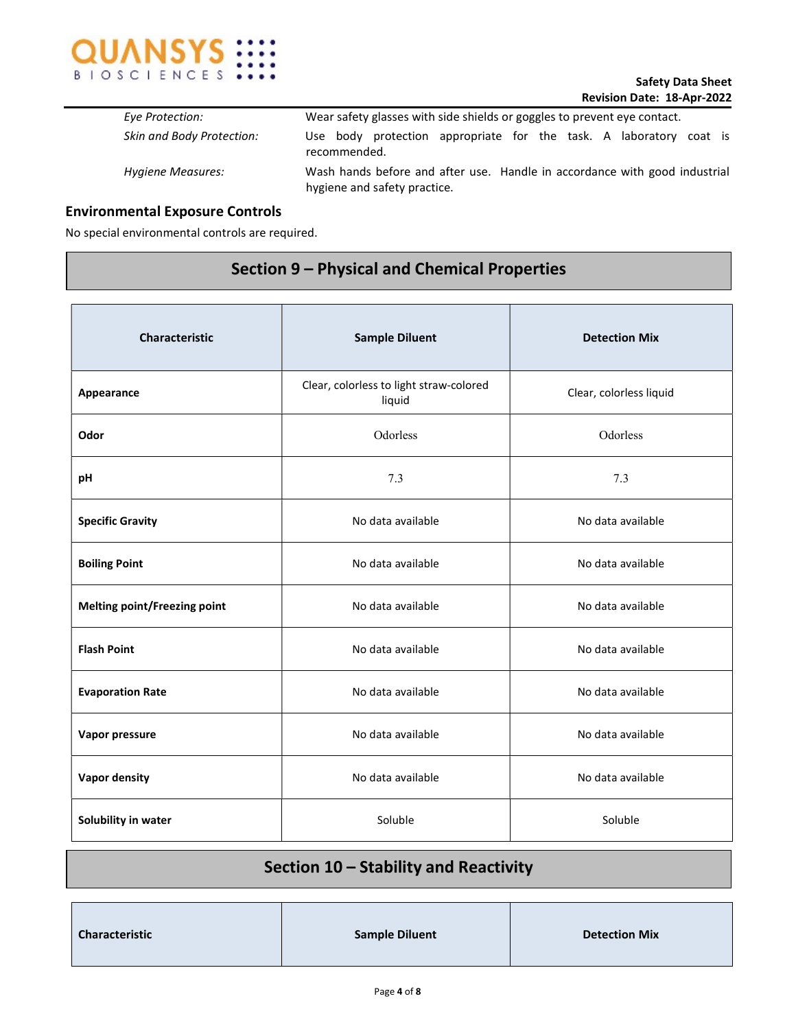

| Eye Protection:                  | Wear safety glasses with side shields or goggles to prevent eye contact.                                   |
|----------------------------------|------------------------------------------------------------------------------------------------------------|
| <b>Skin and Body Protection:</b> | Use body protection appropriate for the task. A laboratory coat is<br>recommended.                         |
| Hygiene Measures:                | Wash hands before and after use. Handle in accordance with good industrial<br>hygiene and safety practice. |

# Environmental Exposure Controls

No special environmental controls are required.

# Section 9 – Physical and Chemical Properties

| Characteristic                      | <b>Sample Diluent</b>                             | <b>Detection Mix</b>    |  |
|-------------------------------------|---------------------------------------------------|-------------------------|--|
| Appearance                          | Clear, colorless to light straw-colored<br>liquid | Clear, colorless liquid |  |
| Odor                                | Odorless<br>Odorless                              |                         |  |
| pH                                  | 7.3                                               | 7.3                     |  |
| <b>Specific Gravity</b>             | No data available                                 | No data available       |  |
| <b>Boiling Point</b>                | No data available                                 | No data available       |  |
| <b>Melting point/Freezing point</b> | No data available                                 | No data available       |  |
| <b>Flash Point</b>                  | No data available                                 | No data available       |  |
| <b>Evaporation Rate</b>             | No data available                                 | No data available       |  |
| Vapor pressure                      | No data available                                 | No data available       |  |
| <b>Vapor density</b>                | No data available                                 | No data available       |  |
| Solubility in water                 | Soluble                                           | Soluble                 |  |

# Section 10 – Stability and Reactivity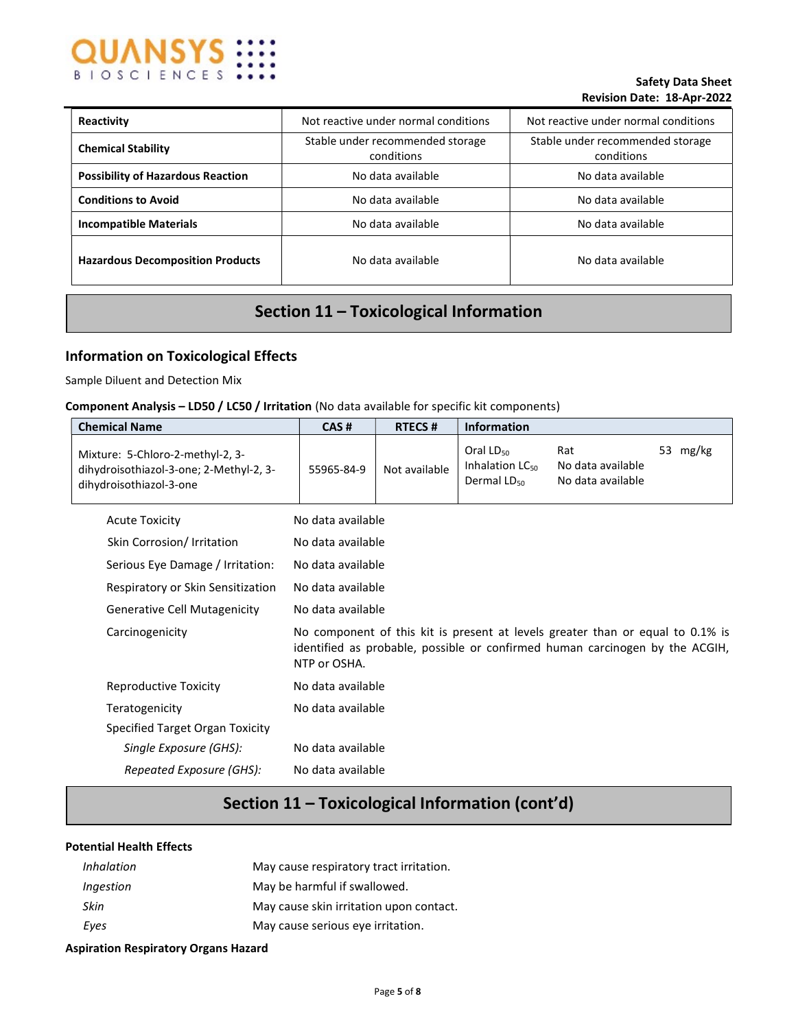

### Safety Data Sheet Revision Date: 18-Apr-2022

| Reactivity                               | Not reactive under normal conditions<br>Not reactive under normal conditions |                                                |
|------------------------------------------|------------------------------------------------------------------------------|------------------------------------------------|
| <b>Chemical Stability</b>                | Stable under recommended storage<br>conditions                               | Stable under recommended storage<br>conditions |
| <b>Possibility of Hazardous Reaction</b> | No data available                                                            | No data available                              |
| <b>Conditions to Avoid</b>               | No data available                                                            | No data available                              |
| <b>Incompatible Materials</b>            | No data available                                                            | No data available                              |
| <b>Hazardous Decomposition Products</b>  | No data available                                                            | No data available                              |

# Section 11 – Toxicological Information

# Information on Toxicological Effects

Sample Diluent and Detection Mix

### Component Analysis – LD50 / LC50 / Irritation (No data available for specific kit components)

| <b>Chemical Name</b>                                                                                   | CAS#              | <b>RTECS#</b> | <b>Information</b>                                                |                                                                                                                                                                |          |
|--------------------------------------------------------------------------------------------------------|-------------------|---------------|-------------------------------------------------------------------|----------------------------------------------------------------------------------------------------------------------------------------------------------------|----------|
| Mixture: 5-Chloro-2-methyl-2, 3-<br>dihydroisothiazol-3-one; 2-Methyl-2, 3-<br>dihydroisothiazol-3-one | 55965-84-9        | Not available | Oral $LD_{50}$<br>Inhalation LC <sub>50</sub><br>Dermal $LD_{50}$ | Rat<br>No data available<br>No data available                                                                                                                  | 53 mg/kg |
| <b>Acute Toxicity</b>                                                                                  | No data available |               |                                                                   |                                                                                                                                                                |          |
| Skin Corrosion/Irritation                                                                              | No data available |               |                                                                   |                                                                                                                                                                |          |
| Serious Eye Damage / Irritation:                                                                       | No data available |               |                                                                   |                                                                                                                                                                |          |
| Respiratory or Skin Sensitization                                                                      | No data available |               |                                                                   |                                                                                                                                                                |          |
| <b>Generative Cell Mutagenicity</b>                                                                    | No data available |               |                                                                   |                                                                                                                                                                |          |
| Carcinogenicity                                                                                        | NTP or OSHA.      |               |                                                                   | No component of this kit is present at levels greater than or equal to 0.1% is<br>identified as probable, possible or confirmed human carcinogen by the ACGIH, |          |
| Reproductive Toxicity                                                                                  | No data available |               |                                                                   |                                                                                                                                                                |          |
| Teratogenicity                                                                                         | No data available |               |                                                                   |                                                                                                                                                                |          |
| Specified Target Organ Toxicity                                                                        |                   |               |                                                                   |                                                                                                                                                                |          |
| Single Exposure (GHS):                                                                                 | No data available |               |                                                                   |                                                                                                                                                                |          |
| Repeated Exposure (GHS):                                                                               | No data available |               |                                                                   |                                                                                                                                                                |          |

# Section 11 – Toxicological Information (cont'd)

## Potential Health Effects

| <i>Inhalation</i> | May cause respiratory tract irritation. |
|-------------------|-----------------------------------------|
| Ingestion         | May be harmful if swallowed.            |
| Skin              | May cause skin irritation upon contact. |
| Eves              | May cause serious eye irritation.       |

### Aspiration Respiratory Organs Hazard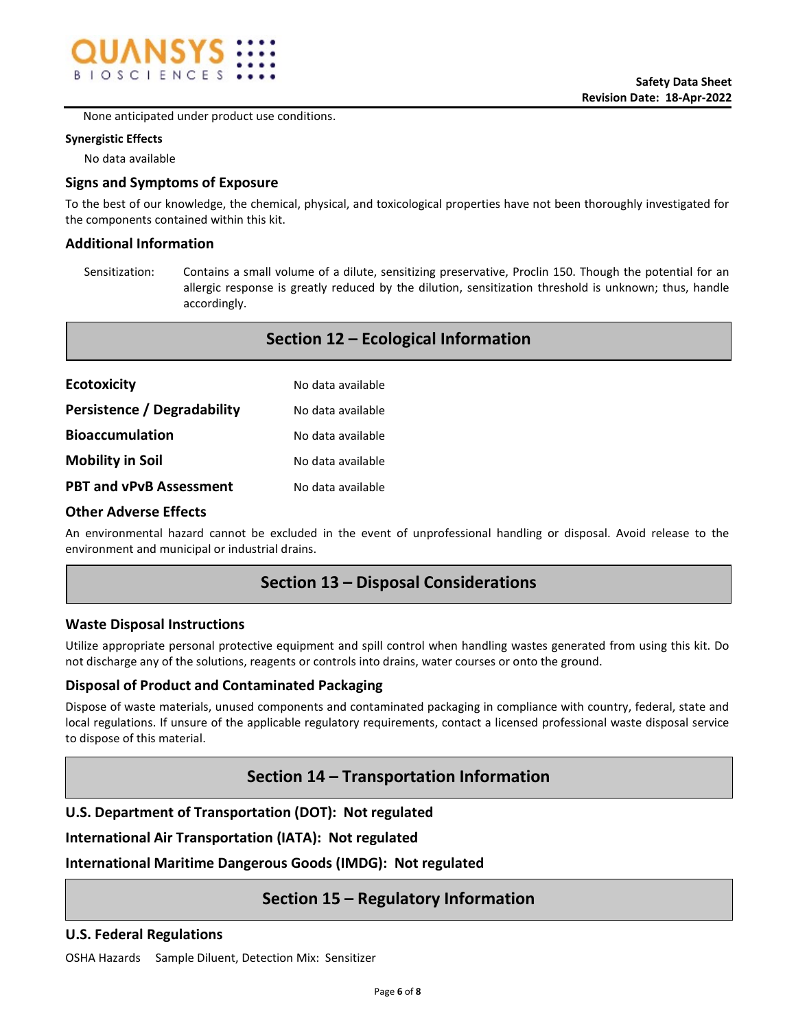

None anticipated under product use conditions.

### Synergistic Effects

No data available

## Signs and Symptoms of Exposure

To the best of our knowledge, the chemical, physical, and toxicological properties have not been thoroughly investigated for the components contained within this kit.

## Additional Information

Sensitization: Contains a small volume of a dilute, sensitizing preservative, Proclin 150. Though the potential for an allergic response is greatly reduced by the dilution, sensitization threshold is unknown; thus, handle accordingly.

Section 12 – Ecological Information

| <b>Ecotoxicity</b>             | No data available |
|--------------------------------|-------------------|
| Persistence / Degradability    | No data available |
| <b>Bioaccumulation</b>         | No data available |
| <b>Mobility in Soil</b>        | No data available |
| <b>PBT and vPvB Assessment</b> | No data available |

### Other Adverse Effects

An environmental hazard cannot be excluded in the event of unprofessional handling or disposal. Avoid release to the environment and municipal or industrial drains.

# Section 13 – Disposal Considerations

### Waste Disposal Instructions

Utilize appropriate personal protective equipment and spill control when handling wastes generated from using this kit. Do not discharge any of the solutions, reagents or controls into drains, water courses or onto the ground.

### Disposal of Product and Contaminated Packaging

Dispose of waste materials, unused components and contaminated packaging in compliance with country, federal, state and local regulations. If unsure of the applicable regulatory requirements, contact a licensed professional waste disposal service to dispose of this material.

# Section 14 – Transportation Information

# U.S. Department of Transportation (DOT): Not regulated

International Air Transportation (IATA): Not regulated

International Maritime Dangerous Goods (IMDG): Not regulated

# Section 15 – Regulatory Information

### U.S. Federal Regulations

OSHA Hazards Sample Diluent, Detection Mix: Sensitizer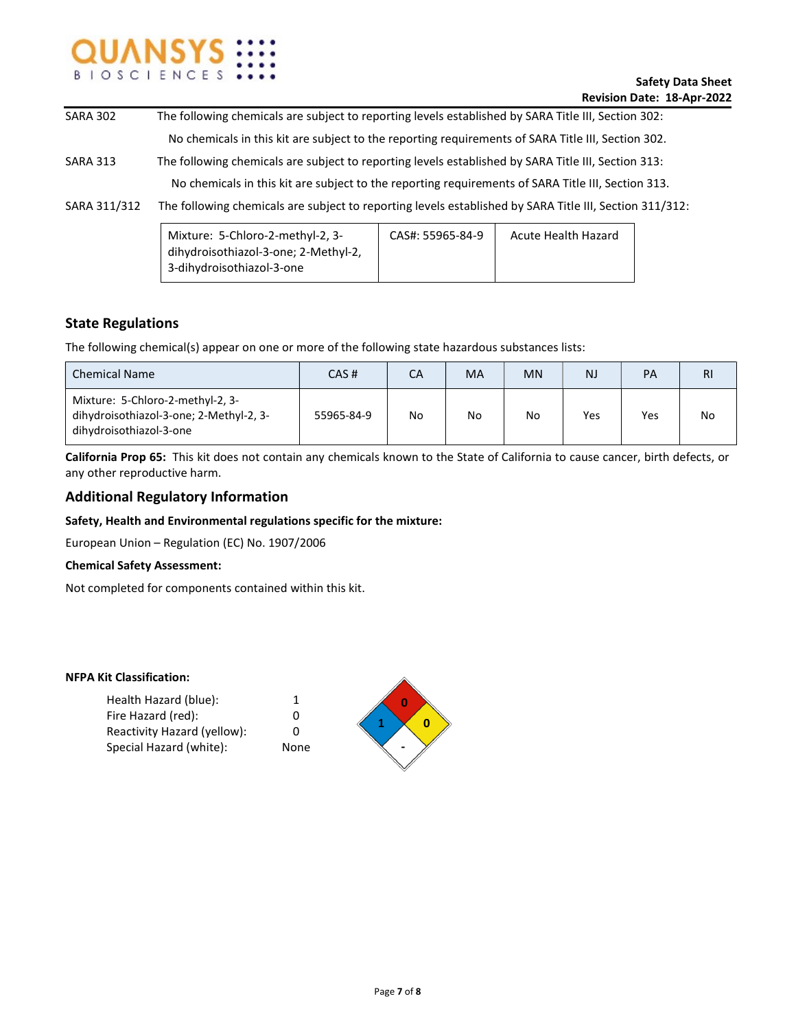

| <b>SARA 302</b> | The following chemicals are subject to reporting levels established by SARA Title III, Section 302:     |                  |                     |  |
|-----------------|---------------------------------------------------------------------------------------------------------|------------------|---------------------|--|
|                 | No chemicals in this kit are subject to the reporting requirements of SARA Title III, Section 302.      |                  |                     |  |
| <b>SARA 313</b> | The following chemicals are subject to reporting levels established by SARA Title III, Section 313:     |                  |                     |  |
|                 | No chemicals in this kit are subject to the reporting requirements of SARA Title III, Section 313.      |                  |                     |  |
| SARA 311/312    | The following chemicals are subject to reporting levels established by SARA Title III, Section 311/312: |                  |                     |  |
|                 | Mixture: 5-Chloro-2-methyl-2, 3-<br>dihydroisothiazol-3-one; 2-Methyl-2,<br>3-dihydroisothiazol-3-one   | CAS#: 55965-84-9 | Acute Health Hazard |  |

## State Regulations

The following chemical(s) appear on one or more of the following state hazardous substances lists:

| <b>Chemical Name</b>                                                                                   | CAS#       | СA | MA | <b>MN</b> | <b>NJ</b> | PA  | <b>RI</b> |
|--------------------------------------------------------------------------------------------------------|------------|----|----|-----------|-----------|-----|-----------|
| Mixture: 5-Chloro-2-methyl-2, 3-<br>dihydroisothiazol-3-one; 2-Methyl-2, 3-<br>dihydroisothiazol-3-one | 55965-84-9 | No | No | No        | Yes       | Yes | No        |

California Prop 65: This kit does not contain any chemicals known to the State of California to cause cancer, birth defects, or any other reproductive harm.

## Additional Regulatory Information

### Safety, Health and Environmental regulations specific for the mixture:

European Union – Regulation (EC) No. 1907/2006

#### Chemical Safety Assessment:

Not completed for components contained within this kit.

#### NFPA Kit Classification:

| Health Hazard (blue):       | 1    |
|-----------------------------|------|
| Fire Hazard (red):          | o    |
| Reactivity Hazard (yellow): | n    |
| Special Hazard (white):     | None |